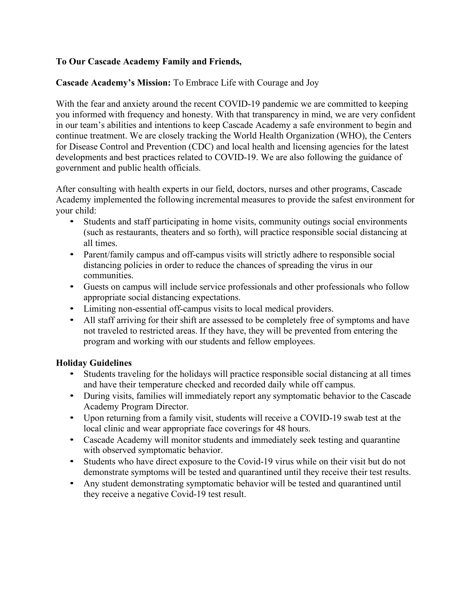## **To Our Cascade Academy Family and Friends,**

## **Cascade Academy's Mission:** To Embrace Life with Courage and Joy

With the fear and anxiety around the recent COVID-19 pandemic we are committed to keeping you informed with frequency and honesty. With that transparency in mind, we are very confident in our team's abilities and intentions to keep Cascade Academy a safe environment to begin and continue treatment. We are closely tracking the World Health Organization (WHO), the Centers for Disease Control and Prevention (CDC) and local health and licensing agencies for the latest developments and best practices related to COVID-19. We are also following the guidance of government and public health officials.

After consulting with health experts in our field, doctors, nurses and other programs, Cascade Academy implemented the following incremental measures to provide the safest environment for your child:

- Students and staff participating in home visits, community outings social environments (such as restaurants, theaters and so forth), will practice responsible social distancing at all times.
- Parent/family campus and off-campus visits will strictly adhere to responsible social distancing policies in order to reduce the chances of spreading the virus in our communities.
- Guests on campus will include service professionals and other professionals who follow appropriate social distancing expectations.
- Limiting non-essential off-campus visits to local medical providers.
- All staff arriving for their shift are assessed to be completely free of symptoms and have not traveled to restricted areas. If they have, they will be prevented from entering the program and working with our students and fellow employees.

## **Holiday Guidelines**

- Students traveling for the holidays will practice responsible social distancing at all times and have their temperature checked and recorded daily while off campus.
- During visits, families will immediately report any symptomatic behavior to the Cascade Academy Program Director.
- Upon returning from a family visit, students will receive a COVID-19 swab test at the local clinic and wear appropriate face coverings for 48 hours.
- Cascade Academy will monitor students and immediately seek testing and quarantine with observed symptomatic behavior.
- Students who have direct exposure to the Covid-19 virus while on their visit but do not demonstrate symptoms will be tested and quarantined until they receive their test results.
- Any student demonstrating symptomatic behavior will be tested and quarantined until they receive a negative Covid-19 test result.